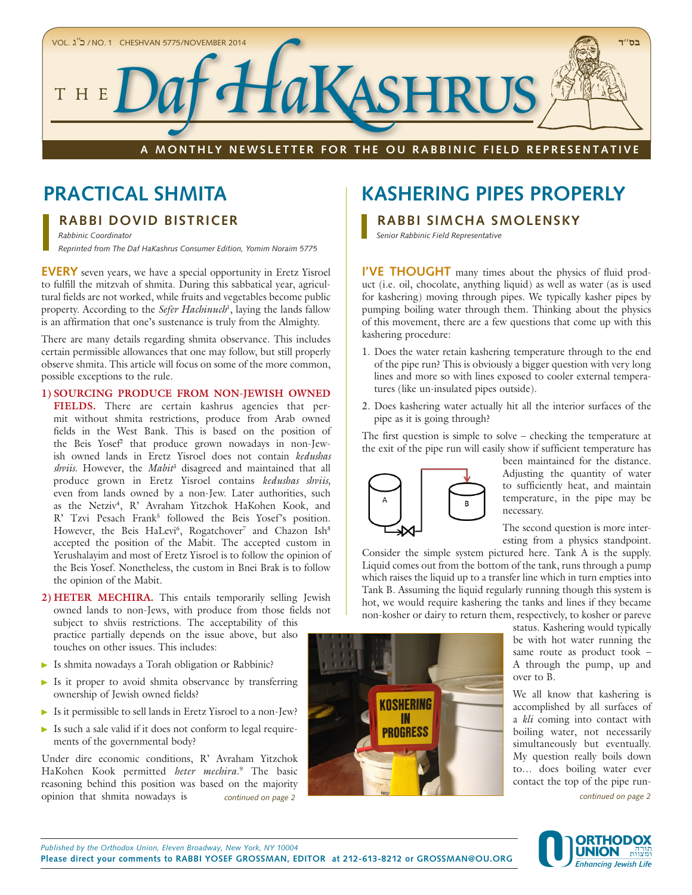

# **RABBI DOVID BISTRICER**

*Rabbinic Coordinator Reprinted from The Daf HaKashrus Consumer Edition, Yomim Noraim 5775*

**EVERY** seven years, we have a special opportunity in Eretz Yisroel to fulfill the mitzvah of shmita. During this sabbatical year, agricultural fields are not worked, while fruits and vegetables become public property. According to the *Sefer Hachinuch*<sup>1</sup>, laying the lands fallow is an affirmation that one's sustenance is truly from the Almighty.

There are many details regarding shmita observance. This includes certain permissible allowances that one may follow, but still properly observe shmita. This article will focus on some of the more common, possible exceptions to the rule.

#### **1) SOURCING PRODUCE FROM NON-JEWISH OWNED**

FIELDS. There are certain kashrus agencies that permit without shmita restrictions, produce from Arab owned fields in the West Bank. This is based on the position of the Beis Yosef2 that produce grown nowadays in non-Jewish owned lands in Eretz Yisroel does not contain *kedushas shviis*. However, the *Mabit*<sup>3</sup> disagreed and maintained that all produce grown in Eretz Yisroel contains *kedushas shviis,*  even from lands owned by a non-Jew. Later authorities, such as the Netziv<sup>4</sup>, R' Avraham Yitzchok HaKohen Kook, and R' Tzvi Pesach Frank<sup>5</sup> followed the Beis Yosef's position. However, the Beis HaLevi<sup>6</sup>, Rogatchover<sup>7</sup> and Chazon Ish<sup>8</sup> accepted the position of the Mabit. The accepted custom in Yerushalayim and most of Eretz Yisroel is to follow the opinion of the Beis Yosef. Nonetheless, the custom in Bnei Brak is to follow the opinion of the Mabit.

**2) HETER MECHIRA.** This entails temporarily selling Jewish owned lands to non-Jews, with produce from those fields not subject to shviis restrictions. The acceptability of this practice partially depends on the issue above, but also touches on other issues. This includes:

- Is shmita nowadays a Torah obligation or Rabbinic?
- Is it proper to avoid shmita observance by transferring ownership of Jewish owned fields?
- Is it permissible to sell lands in Eretz Yisroel to a non-Jew?
- $\triangleright$  Is such a sale valid if it does not conform to legal requirements of the governmental body?

Under dire economic conditions, R' Avraham Yitzchok HaKohen Kook permitted *heter mechira*. 9 The basic reasoning behind this position was based on the majority opinion that shmita nowadays is *continued on page 2*

# **PRACTICAL SHMITA THE RESOLUTION CONSIDER PROPERLY**

**RABBI SIMCHA SMOLENSKY**

*Senior Rabbinic Field Representative*

**I'VE THOUGHT** many times about the physics of fluid product (i.e. oil, chocolate, anything liquid) as well as water (as is used for kashering) moving through pipes. We typically kasher pipes by pumping boiling water through them. Thinking about the physics of this movement, there are a few questions that come up with this kashering procedure:

- 1. Does the water retain kashering temperature through to the end of the pipe run? This is obviously a bigger question with very long lines and more so with lines exposed to cooler external temperatures (like un-insulated pipes outside).
- 2. Does kashering water actually hit all the interior surfaces of the pipe as it is going through?

The first question is simple to solve – checking the temperature at the exit of the pipe run will easily show if sufficient temperature has



been maintained for the distance. Adjusting the quantity of water to sufficiently heat, and maintain temperature, in the pipe may be necessary.

The second question is more interesting from a physics standpoint.

Consider the simple system pictured here. Tank A is the supply. Liquid comes out from the bottom of the tank, runs through a pump which raises the liquid up to a transfer line which in turn empties into Tank B. Assuming the liquid regularly running though this system is hot, we would require kashering the tanks and lines if they became non-kosher or dairy to return them, respectively, to kosher or pareve



status. Kashering would typically be with hot water running the same route as product took – A through the pump, up and over to B.

We all know that kashering is accomplished by all surfaces of a *kli* coming into contact with boiling water, not necessarily simultaneously but eventually. My question really boils down to… does boiling water ever contact the top of the pipe run-

*continued on page 2*

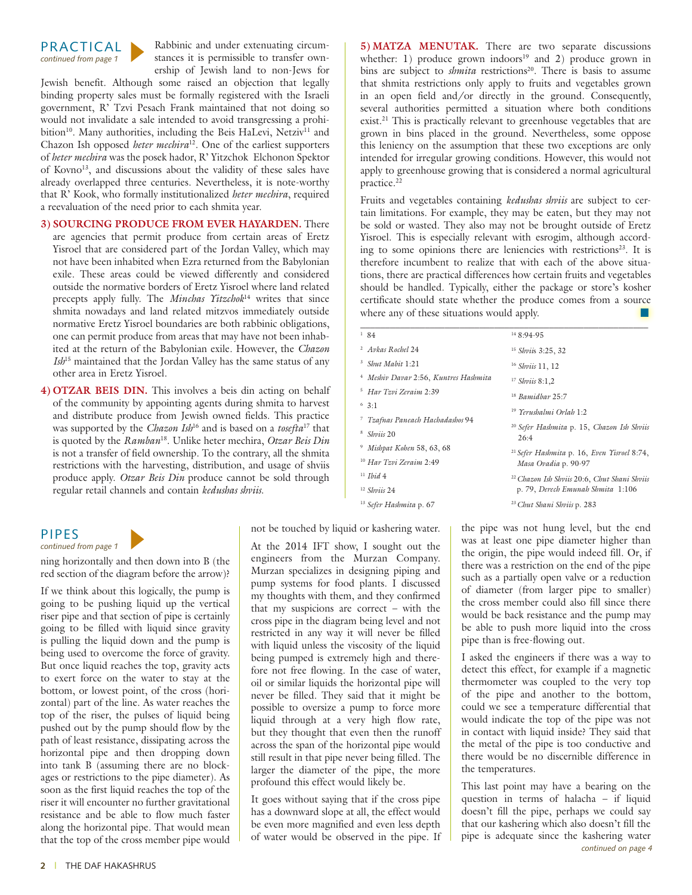

Rabbinic and under extenuating circumstances it is permissible to transfer ownership of Jewish land to non-Jews for

Jewish benefit. Although some raised an objection that legally binding property sales must be formally registered with the Israeli government, R' Tzvi Pesach Frank maintained that not doing so would not invalidate a sale intended to avoid transgressing a prohibition<sup>10</sup>. Many authorities, including the Beis HaLevi, Netziv<sup>11</sup> and Chazon Ish opposed *heter mechira*12. One of the earliest supporters of *heter mechira* was the posek hador, R' Yitzchok Elchonon Spektor of Kovno13, and discussions about the validity of these sales have already overlapped three centuries. Nevertheless, it is note-worthy that R' Kook, who formally institutionalized *heter mechira*, required a reevaluation of the need prior to each shmita year.

# **3) SOURCING PRODUCE FROM EVER HAYARDEN.** There

are agencies that permit produce from certain areas of Eretz Yisroel that are considered part of the Jordan Valley, which may not have been inhabited when Ezra returned from the Babylonian exile. These areas could be viewed differently and considered outside the normative borders of Eretz Yisroel where land related precepts apply fully. The *Minchas Yitzchok*14 writes that since shmita nowadays and land related mitzvos immediately outside normative Eretz Yisroel boundaries are both rabbinic obligations, one can permit produce from areas that may have not been inhabited at the return of the Babylonian exile. However, the *Chazon Ish*15 maintained that the Jordan Valley has the same status of any other area in Eretz Yisroel.

**4) OTZAR BEIS DIN.** This involves a beis din acting on behalf of the community by appointing agents during shmita to harvest and distribute produce from Jewish owned fields. This practice was supported by the *Chazon Ish*16 and is based on a *tosefta*17 that is quoted by the *Ramban*18. Unlike heter mechira, *Otzar Beis Din* is not a transfer of field ownership. To the contrary, all the shmita restrictions with the harvesting, distribution, and usage of shviis produce apply. *Otzar Beis Din* produce cannot be sold through regular retail channels and contain *kedushas shviis*.

# PIPES

*continued from page 1*

ning horizontally and then down into B (the red section of the diagram before the arrow)?

If we think about this logically, the pump is going to be pushing liquid up the vertical riser pipe and that section of pipe is certainly going to be filled with liquid since gravity is pulling the liquid down and the pump is being used to overcome the force of gravity. But once liquid reaches the top, gravity acts to exert force on the water to stay at the bottom, or lowest point, of the cross (horizontal) part of the line. As water reaches the top of the riser, the pulses of liquid being pushed out by the pump should flow by the path of least resistance, dissipating across the horizontal pipe and then dropping down into tank B (assuming there are no blockages or restrictions to the pipe diameter). As soon as the first liquid reaches the top of the riser it will encounter no further gravitational resistance and be able to flow much faster along the horizontal pipe. That would mean that the top of the cross member pipe would **5) MATZA MENUTAK.** There are two separate discussions whether: 1) produce grown indoors<sup>19</sup> and 2) produce grown in bins are subject to *shmita* restrictions<sup>20</sup>. There is basis to assume that shmita restrictions only apply to fruits and vegetables grown in an open field and/or directly in the ground. Consequently, several authorities permitted a situation where both conditions exist.<sup>21</sup> This is practically relevant to greenhouse vegetables that are grown in bins placed in the ground. Nevertheless, some oppose this leniency on the assumption that these two exceptions are only intended for irregular growing conditions. However, this would not apply to greenhouse growing that is considered a normal agricultural practice.22

Fruits and vegetables containing *kedushas shviis* are subject to certain limitations. For example, they may be eaten, but they may not be sold or wasted. They also may not be brought outside of Eretz Yisroel. This is especially relevant with esrogim, although according to some opinions there are leniencies with restrictions<sup>23</sup>. It is therefore incumbent to realize that with each of the above situations, there are practical differences how certain fruits and vegetables should be handled. Typically, either the package or store's kosher certificate should state whether the produce comes from a source where any of these situations would apply.

| 184                                               | $148.94-95$                                                                                  |
|---------------------------------------------------|----------------------------------------------------------------------------------------------|
| <sup>2</sup> Avkas Rochel 24                      | <sup>15</sup> Shviis 3:25, 32                                                                |
| Shut Mahit 1:21                                   | <sup>16</sup> Shviis 11, 12                                                                  |
| Meshiv Davar 2:56, Kuntres Hashmita<br>$\ddagger$ | $17$ Shviis 8:1,2                                                                            |
| Har Tzvi Zeraim 2:39<br>5                         | $18$ Bamidhar 25:7                                                                           |
| 6.3:1                                             | <sup>19</sup> Yerushalmi Orlah 1:2                                                           |
| Tzafnas Paneach Hachadashos 94                    |                                                                                              |
| Shviis 20                                         | <sup>20</sup> Sefer Hashmita p. 15, Chazon Ish Shviis<br>26:4                                |
| <sup>9</sup> Mishpat Kohen 58, 63, 68             | <sup>21</sup> Sefer Hashmita p. 16, Even Yisroel 8:74,<br>Masa Ovadia p. 90-97               |
| <sup>10</sup> Har Tzvi Zeraim 2:49                |                                                                                              |
| $11$ <i>Ihid</i> 4                                | <sup>22</sup> Chazon Ish Shviis 20:6, Chut Shani Shviis<br>p. 79, Derech Emunah Shmita 1:106 |
| $12$ Shviis 24                                    |                                                                                              |
| <sup>13</sup> Sefer Hashmita p. 67                | <sup>23</sup> Chut Shani Shviis p. 283                                                       |

not be touched by liquid or kashering water.

At the 2014 IFT show, I sought out the engineers from the Murzan Company. Murzan specializes in designing piping and pump systems for food plants. I discussed my thoughts with them, and they confirmed that my suspicions are correct – with the cross pipe in the diagram being level and not restricted in any way it will never be filled with liquid unless the viscosity of the liquid being pumped is extremely high and therefore not free flowing. In the case of water, oil or similar liquids the horizontal pipe will never be filled. They said that it might be possible to oversize a pump to force more liquid through at a very high flow rate, but they thought that even then the runoff across the span of the horizontal pipe would still result in that pipe never being filled. The larger the diameter of the pipe, the more profound this effect would likely be.

It goes without saying that if the cross pipe has a downward slope at all, the effect would be even more magnified and even less depth of water would be observed in the pipe. If the pipe was not hung level, but the end was at least one pipe diameter higher than the origin, the pipe would indeed fill. Or, if there was a restriction on the end of the pipe such as a partially open valve or a reduction of diameter (from larger pipe to smaller) the cross member could also fill since there would be back resistance and the pump may be able to push more liquid into the cross pipe than is free-flowing out.

I asked the engineers if there was a way to detect this effect, for example if a magnetic thermometer was coupled to the very top of the pipe and another to the bottom, could we see a temperature differential that would indicate the top of the pipe was not in contact with liquid inside? They said that the metal of the pipe is too conductive and there would be no discernible difference in the temperatures.

This last point may have a bearing on the question in terms of halacha – if liquid doesn't fill the pipe, perhaps we could say that our kashering which also doesn't fill the pipe is adequate since the kashering water *continued on page 4*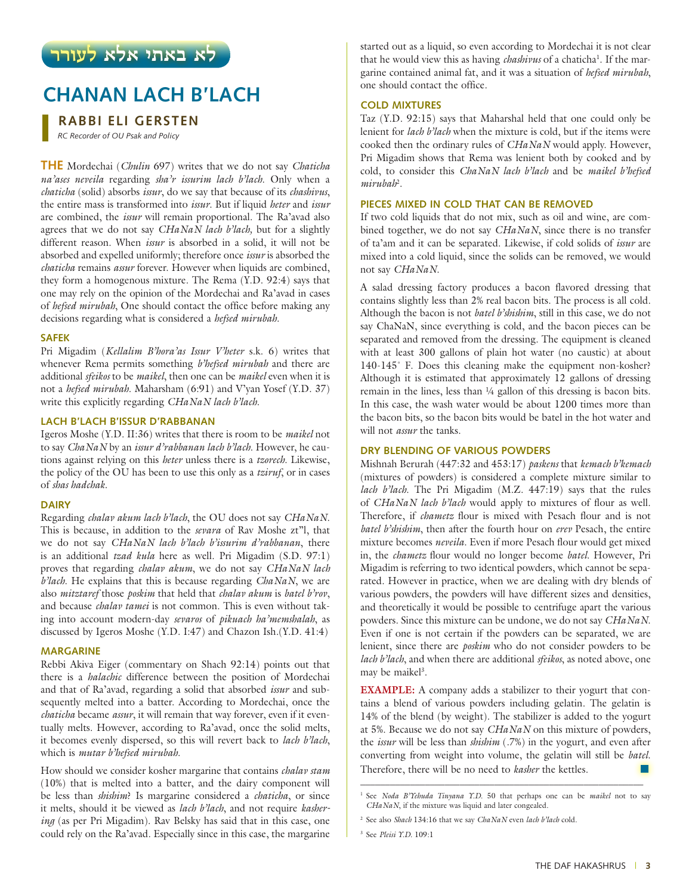# **CHANAN LACH B'LACH**

# **RABBI ELI GERSTEN**

*RC Recorder of OU Psak and Policy*

**THE** Mordechai (*Chulin* 697) writes that we do not say *Chaticha na'ases neveila* regarding *sha'r issurim lach b'lach*. Only when a *chaticha* (solid) absorbs *issur*, do we say that because of its *chashivus*, the entire mass is transformed into *issur*. But if liquid *heter* and *issur* are combined, the *issur* will remain proportional. The Ra'avad also agrees that we do not say *CHaNaN lach b'lach,* but for a slightly different reason. When *issur* is absorbed in a solid, it will not be absorbed and expelled uniformly; therefore once *issur* is absorbed the *chaticha* remains *assur* forever. However when liquids are combined, they form a homogenous mixture. The Rema (Y.D. 92:4) says that one may rely on the opinion of the Mordechai and Ra'avad in cases of *hefsed mirubah*, One should contact the office before making any decisions regarding what is considered a *hefsed mirubah.*

#### **SAFEK**

Pri Migadim (*Kellalim B'hora'as Issur V'heter* s.k. 6) writes that whenever Rema permits something *b'hefsed mirubah* and there are additional *sfeikos* to be *maikel*, then one can be *maikel* even when it is not a *hefsed mirubah*. Maharsham (6:91) and V'yan Yosef (Y.D. 37) write this explicitly regarding *CHaNaN lach b'lach*.

# **LACH B'LACH B'ISSUR D'RABBANAN**

Igeros Moshe (Y.D. II:36) writes that there is room to be *maikel* not to say *ChaNaN* by an *issur d'rabbanan lach b'lach*. However, he cautions against relying on this *heter* unless there is a *tzorech*. Likewise, the policy of the OU has been to use this only as a *tziruf*, or in cases of *shas hadchak.* 

#### **DAIRY**

Regarding *chalav akum lach b'lach*, the OU does not say *CHaNaN*. This is because, in addition to the *sevara* of Rav Moshe zt"l, that we do not say *CHaNaN lach b'lach b'issurim d'rabbanan*, there is an additional *tzad kula* here as well. Pri Migadim (S.D. 97:1) proves that regarding *chalav akum*, we do not say *CHaNaN lach b'lach*. He explains that this is because regarding *ChaNaN*, we are also *mitztaref* those *poskim* that held that *chalav akum* is *batel b'rov*, and because *chalav tamei* is not common. This is even without taking into account modern-day *sevaros* of *pikuach ha'memshalah*, as discussed by Igeros Moshe (Y.D. I:47) and Chazon Ish.(Y.D. 41:4)

#### **MARGARINE**

Rebbi Akiva Eiger (commentary on Shach 92:14) points out that there is a *halachic* difference between the position of Mordechai and that of Ra'avad, regarding a solid that absorbed *issur* and subsequently melted into a batter. According to Mordechai, once the *chaticha* became *assur*, it will remain that way forever, even if it eventually melts. However, according to Ra'avad, once the solid melts, it becomes evenly dispersed, so this will revert back to *lach b'lach*, which is *mutar b'hefsed mirubah*.

How should we consider kosher margarine that contains *chalav stam* (10%) that is melted into a batter, and the dairy component will be less than *shishim*? Is margarine considered a *chaticha*, or since it melts, should it be viewed as *lach b'lach*, and not require *kashering* (as per Pri Migadim). Rav Belsky has said that in this case, one could rely on the Ra'avad. Especially since in this case, the margarine

that he would view this as having *chashivus* of a chatichal it is not clear that he would view this as having *chashivus* of a chaticha<sup>1</sup>. If the margarine contained animal fat, and it was a situation of *hefsed mirubah*, one should contact the office.

#### **COLD MIXTURES**

Taz (Y.D. 92:15) says that Maharshal held that one could only be lenient for *lach b'lach* when the mixture is cold, but if the items were cooked then the ordinary rules of *CHaNaN* would apply. However, Pri Migadim shows that Rema was lenient both by cooked and by cold, to consider this *ChaNaN lach b'lach* and be *maikel b'hefsed mirubah*<sup>2</sup> .

### **PIECES MIXED IN COLD THAT CAN BE REMOVED**

If two cold liquids that do not mix, such as oil and wine, are combined together, we do not say *CHaNaN*, since there is no transfer of ta'am and it can be separated. Likewise, if cold solids of *issur* are mixed into a cold liquid, since the solids can be removed, we would not say *CHaNaN*.

A salad dressing factory produces a bacon flavored dressing that contains slightly less than 2% real bacon bits. The process is all cold. Although the bacon is not *batel b'shishim*, still in this case, we do not say ChaNaN, since everything is cold, and the bacon pieces can be separated and removed from the dressing. The equipment is cleaned with at least 300 gallons of plain hot water (no caustic) at about 140-145˚ F. Does this cleaning make the equipment non-kosher? Although it is estimated that approximately 12 gallons of dressing remain in the lines, less than ¼ gallon of this dressing is bacon bits. In this case, the wash water would be about 1200 times more than the bacon bits, so the bacon bits would be batel in the hot water and will not *assur* the tanks.

### **DRY BLENDING OF VARIOUS POWDERS**

Mishnah Berurah (447:32 and 453:17) *paskens* that *kemach b'kemach* (mixtures of powders) is considered a complete mixture similar to *lach b'lach*. The Pri Migadim (M.Z. 447:19) says that the rules of *CHaNaN lach b'lach* would apply to mixtures of flour as well. Therefore, if *chametz* flour is mixed with Pesach flour and is not *batel b'shishim*, then after the fourth hour on *erev* Pesach, the entire mixture becomes *neveila*. Even if more Pesach flour would get mixed in, the *chametz* flour would no longer become *batel*. However, Pri Migadim is referring to two identical powders, which cannot be separated. However in practice, when we are dealing with dry blends of various powders, the powders will have different sizes and densities, and theoretically it would be possible to centrifuge apart the various powders. Since this mixture can be undone, we do not say *CHaNaN*. Even if one is not certain if the powders can be separated, we are lenient, since there are *poskim* who do not consider powders to be *lach b'lach*, and when there are additional *sfeikos*, as noted above, one may be maikel<sup>3</sup>.

**EXAMPLE:** A company adds a stabilizer to their yogurt that contains a blend of various powders including gelatin. The gelatin is 14% of the blend (by weight). The stabilizer is added to the yogurt at 5%. Because we do not say *CHaNaN* on this mixture of powders, the *issur* will be less than *shishim* (.7%) in the yogurt, and even after converting from weight into volume, the gelatin will still be *batel*. Therefore, there will be no need to *kasher* the kettles.

\_\_\_\_\_\_\_\_\_\_\_\_\_\_\_\_\_\_\_\_\_\_\_\_\_\_\_\_\_\_\_\_\_\_\_\_\_\_\_\_\_\_\_\_\_\_\_\_\_\_\_\_\_\_\_\_\_ 1 See *Noda B'Yehuda Tinyana Y.D.* 50 that perhaps one can be *maikel* not to say *CHaNaN*, if the mixture was liquid and later congealed.

<sup>2</sup> See also *Shach* 134:16 that we say *ChaNaN* even *lach b'lach* cold.

<sup>3</sup> See *Pleisi Y.D.* 109:1